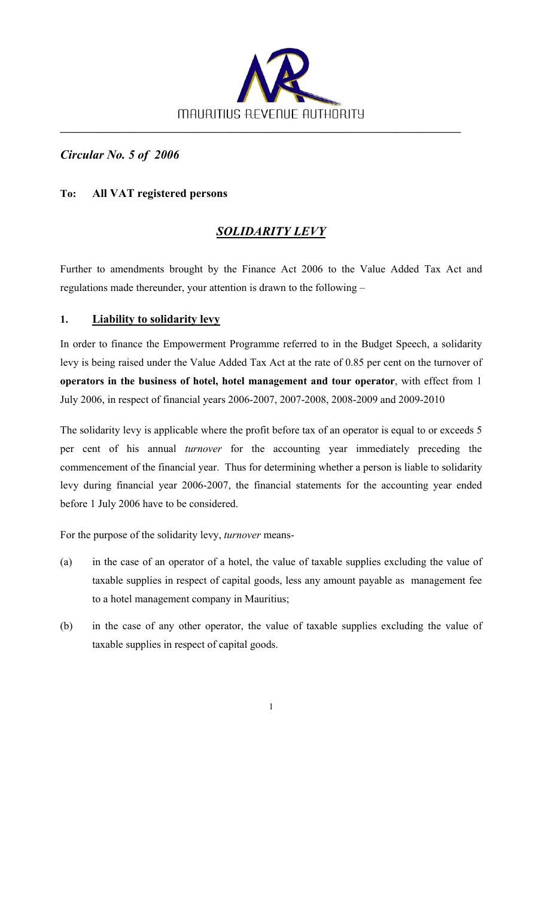

*Circular No. 5 of 2006* 

## **To: All VAT registered persons**

# *SOLIDARITY LEVY*

Further to amendments brought by the Finance Act 2006 to the Value Added Tax Act and regulations made thereunder, your attention is drawn to the following –

#### **1. Liability to solidarity levy**

In order to finance the Empowerment Programme referred to in the Budget Speech, a solidarity levy is being raised under the Value Added Tax Act at the rate of 0.85 per cent on the turnover of **operators in the business of hotel, hotel management and tour operator**, with effect from 1 July 2006, in respect of financial years 2006-2007, 2007-2008, 2008-2009 and 2009-2010

The solidarity levy is applicable where the profit before tax of an operator is equal to or exceeds 5 per cent of his annual *turnover* for the accounting year immediately preceding the commencement of the financial year. Thus for determining whether a person is liable to solidarity levy during financial year 2006-2007, the financial statements for the accounting year ended before 1 July 2006 have to be considered.

For the purpose of the solidarity levy, *turnover* means-

- (a) in the case of an operator of a hotel, the value of taxable supplies excluding the value of taxable supplies in respect of capital goods, less any amount payable as management fee to a hotel management company in Mauritius;
- (b) in the case of any other operator, the value of taxable supplies excluding the value of taxable supplies in respect of capital goods.

1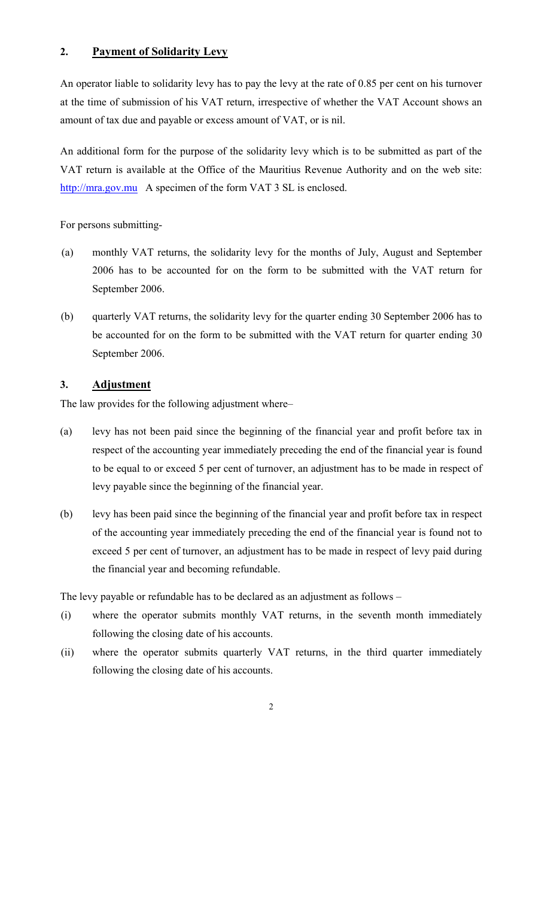## **2. Payment of Solidarity Levy**

An operator liable to solidarity levy has to pay the levy at the rate of 0.85 per cent on his turnover at the time of submission of his VAT return, irrespective of whether the VAT Account shows an amount of tax due and payable or excess amount of VAT, or is nil.

An additional form for the purpose of the solidarity levy which is to be submitted as part of the VAT return is available at the Office of the Mauritius Revenue Authority and on the web site: [http://mra.gov.mu](http://mra.gov.mu/) A specimen of the form VAT 3 SL is enclosed.

For persons submitting-

- (a) monthly VAT returns, the solidarity levy for the months of July, August and September 2006 has to be accounted for on the form to be submitted with the VAT return for September 2006.
- (b) quarterly VAT returns, the solidarity levy for the quarter ending 30 September 2006 has to be accounted for on the form to be submitted with the VAT return for quarter ending 30 September 2006.

## **3. Adjustment**

The law provides for the following adjustment where–

- (a) levy has not been paid since the beginning of the financial year and profit before tax in respect of the accounting year immediately preceding the end of the financial year is found to be equal to or exceed 5 per cent of turnover, an adjustment has to be made in respect of levy payable since the beginning of the financial year.
- (b) levy has been paid since the beginning of the financial year and profit before tax in respect of the accounting year immediately preceding the end of the financial year is found not to exceed 5 per cent of turnover, an adjustment has to be made in respect of levy paid during the financial year and becoming refundable.

The levy payable or refundable has to be declared as an adjustment as follows –

- (i) where the operator submits monthly VAT returns, in the seventh month immediately following the closing date of his accounts.
- (ii) where the operator submits quarterly VAT returns, in the third quarter immediately following the closing date of his accounts.